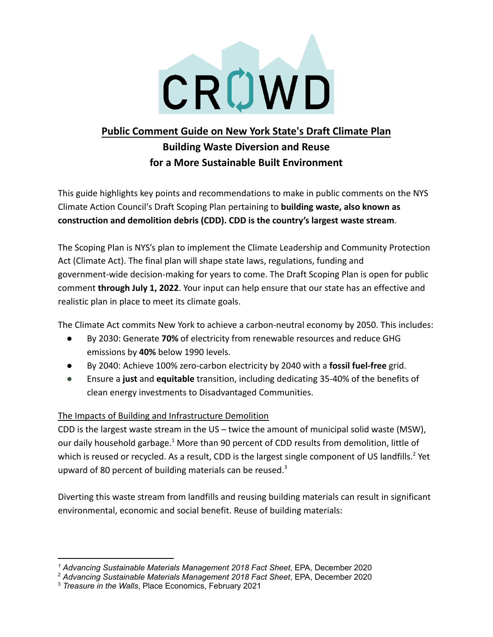

### **Public Comment Guide on New York State's Draft Climate Plan**

# **Building Waste Diversion and Reuse for a More Sustainable Built Environment**

This guide highlights key points and recommendations to make in public comments on the NYS Climate Action Council's Draft Scoping Plan pertaining to **building waste, also known as construction and demolition debris (CDD). CDD is the country's largest waste stream**.

The Scoping Plan is NYS's plan to implement the Climate Leadership and Community Protection Act (Climate Act). The final plan will shape state laws, regulations, funding and government-wide decision-making for years to come. The Draft Scoping Plan is open for public comment **through July 1, 2022**. Your input can help ensure that our state has an effective and realistic plan in place to meet its climate goals.

The Climate Act commits New York to achieve a carbon-neutral economy by 2050. This includes:

- By 2030: Generate **70%** of electricity from renewable resources and reduce GHG emissions by **40%** below 1990 levels.
- By 2040: Achieve 100% zero-carbon electricity by 2040 with a **fossil fuel-free** grid.
- Ensure a **just** and **equitable** transition, including dedicating 35-40% of the benefits of clean energy investments to Disadvantaged Communities.

#### The Impacts of Building and Infrastructure Demolition

CDD is the largest waste stream in the US – twice the amount of municipal solid waste (MSW), our daily household garbage.<sup>1</sup> More than 90 percent of CDD results from demolition, little of which is reused or recycled. As a result, CDD is the largest single component of US landfills.<sup>2</sup> Yet upward of 80 percent of building materials can be reused. $3$ 

Diverting this waste stream from landfills and reusing building materials can result in significant environmental, economic and social benefit. Reuse of building materials:

*<sup>1</sup> Advancing Sustainable Materials Management 2018 Fact Sheet*, EPA, December 2020

<sup>2</sup> *Advancing Sustainable Materials Management 2018 Fact Sheet*, EPA, December 2020

<sup>3</sup> *Treasure in the Walls*, Place Economics, February 2021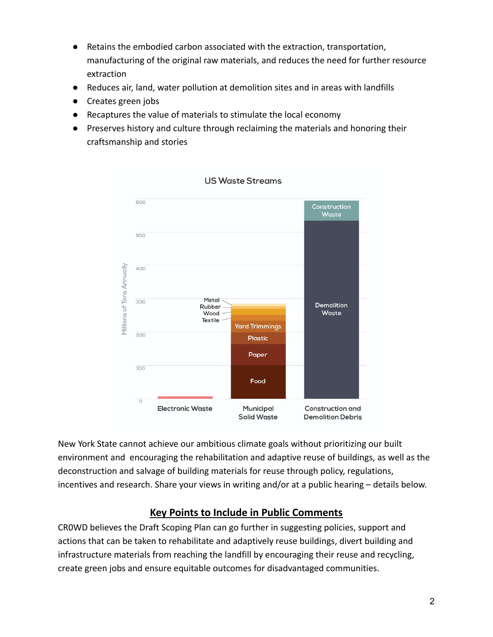- Retains the embodied carbon associated with the extraction, transportation, manufacturing of the original raw materials, and reduces the need for further resource extraction
- Reduces air, land, water pollution at demolition sites and in areas with landfills
- Creates green jobs
- Recaptures the value of materials to stimulate the local economy
- Preserves history and culture through reclaiming the materials and honoring their craftsmanship and stories



New York State cannot achieve our ambitious climate goals without prioritizing our built environment and encouraging the rehabilitation and adaptive reuse of buildings, as well as the deconstruction and salvage of building materials for reuse through policy, regulations, incentives and research. Share your views in writing and/or at a public hearing – details below.

### **Key Points to Include in Public Comments**

CR0WD believes the Draft Scoping Plan can go further in suggesting policies, support and actions that can be taken to rehabilitate and adaptively reuse buildings, divert building and infrastructure materials from reaching the landfill by encouraging their reuse and recycling, create green jobs and ensure equitable outcomes for disadvantaged communities.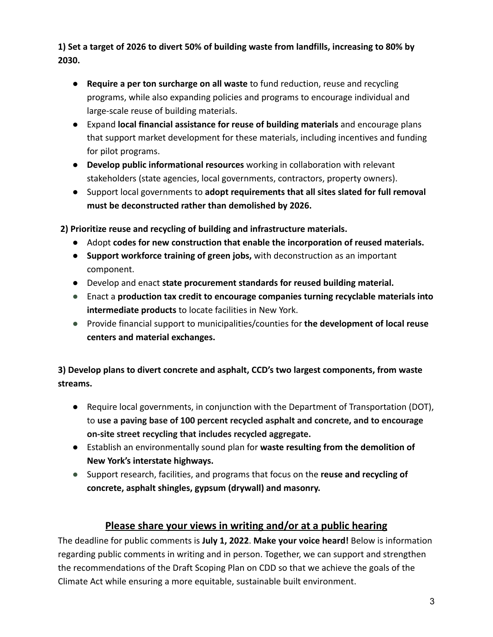**1) Set a target of 2026 to divert 50% of building waste from landfills, increasing to 80% by 2030.**

- **● Require a per ton surcharge on all waste** to fund reduction, reuse and recycling programs, while also expanding policies and programs to encourage individual and large-scale reuse of building materials.
- **●** Expand **local financial assistance for reuse of building materials** and encourage plans that support market development for these materials, including incentives and funding for pilot programs.
- **● Develop public informational resources** working in collaboration with relevant stakeholders (state agencies, local governments, contractors, property owners).
- **●** Support local governments to **adopt requirements that all sites slated for full removal must be deconstructed rather than demolished by 2026.**

**2) Prioritize reuse and recycling of building and infrastructure materials.**

- **●** Adopt **codes for new construction that enable the incorporation of reused materials.**
- **● Support workforce training of green jobs,** with deconstruction as an important component.
- **●** Develop and enact **state procurement standards for reused building material.**
- **●** Enact a **production tax credit to encourage companies turning recyclable materials into intermediate products** to locate facilities in New York.
- **●** Provide financial support to municipalities/counties for **the development of local reuse centers and material exchanges.**

**3) Develop plans to divert concrete and asphalt, CCD's two largest components, from waste streams.**

- **●** Require local governments, in conjunction with the Department of Transportation (DOT), to **use a paving base of 100 percent recycled asphalt and concrete, and to encourage on-site street recycling that includes recycled aggregate.**
- **●** Establish an environmentally sound plan for **waste resulting from the demolition of New York's interstate highways.**
- **●** Support research, facilities, and programs that focus on the **reuse and recycling of concrete, asphalt shingles, gypsum (drywall) and masonry.**

## **Please share your views in writing and/or at a public hearing**

The deadline for public comments is **July 1, 2022**. **Make your voice heard!** Below is information regarding public comments in writing and in person. Together, we can support and strengthen the recommendations of the Draft Scoping Plan on CDD so that we achieve the goals of the Climate Act while ensuring a more equitable, sustainable built environment.